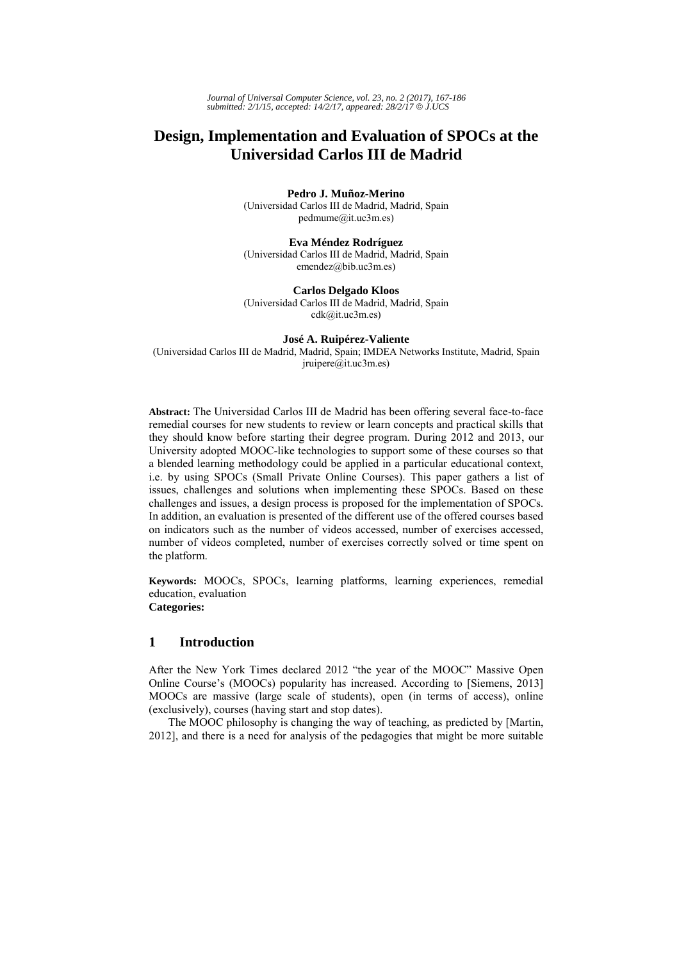# **Design, Implementation and Evaluation of SPOCs at the Universidad Carlos III de Madrid**

**Pedro J. Muñoz-Merino**  (Universidad Carlos III de Madrid, Madrid, Spain pedmume@it.uc3m.es)

**Eva Méndez Rodríguez** (Universidad Carlos III de Madrid, Madrid, Spain emendez@bib.uc3m.es)

**Carlos Delgado Kloos**  (Universidad Carlos III de Madrid, Madrid, Spain cdk@it.uc3m.es)

#### **José A. Ruipérez-Valiente**

(Universidad Carlos III de Madrid, Madrid, Spain; IMDEA Networks Institute, Madrid, Spain jruipere@it.uc3m.es)

**Abstract:** The Universidad Carlos III de Madrid has been offering several face-to-face remedial courses for new students to review or learn concepts and practical skills that they should know before starting their degree program. During 2012 and 2013, our University adopted MOOC-like technologies to support some of these courses so that a blended learning methodology could be applied in a particular educational context, i.e. by using SPOCs (Small Private Online Courses). This paper gathers a list of issues, challenges and solutions when implementing these SPOCs. Based on these challenges and issues, a design process is proposed for the implementation of SPOCs. In addition, an evaluation is presented of the different use of the offered courses based on indicators such as the number of videos accessed, number of exercises accessed, number of videos completed, number of exercises correctly solved or time spent on the platform.

**Keywords:** MOOCs, SPOCs, learning platforms, learning experiences, remedial education, evaluation **Categories:**

## **1 Introduction**

After the New York Times declared 2012 "the year of the MOOC" Massive Open Online Course's (MOOCs) popularity has increased. According to [Siemens, 2013] MOOCs are massive (large scale of students), open (in terms of access), online (exclusively), courses (having start and stop dates).

The MOOC philosophy is changing the way of teaching, as predicted by [Martin, 2012], and there is a need for analysis of the pedagogies that might be more suitable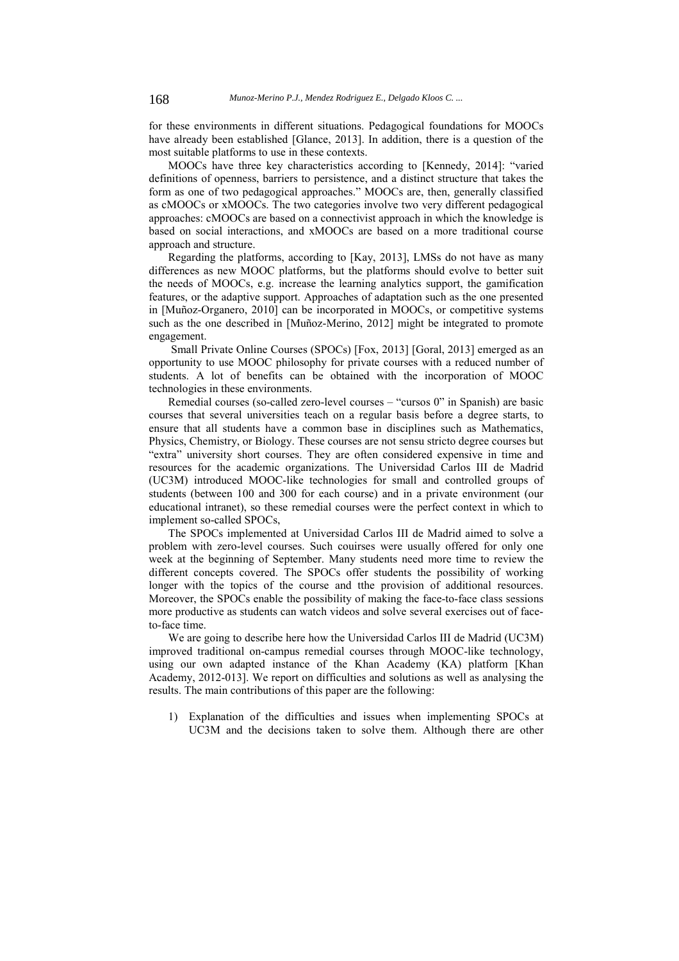for these environments in different situations. Pedagogical foundations for MOOCs have already been established [Glance, 2013]. In addition, there is a question of the most suitable platforms to use in these contexts.

MOOCs have three key characteristics according to [Kennedy, 2014]: "varied definitions of openness, barriers to persistence, and a distinct structure that takes the form as one of two pedagogical approaches." MOOCs are, then, generally classified as cMOOCs or xMOOCs. The two categories involve two very different pedagogical approaches: cMOOCs are based on a connectivist approach in which the knowledge is based on social interactions, and xMOOCs are based on a more traditional course approach and structure.

Regarding the platforms, according to [Kay, 2013], LMSs do not have as many differences as new MOOC platforms, but the platforms should evolve to better suit the needs of MOOCs, e.g. increase the learning analytics support, the gamification features, or the adaptive support. Approaches of adaptation such as the one presented in [Muñoz-Organero, 2010] can be incorporated in MOOCs, or competitive systems such as the one described in [Muñoz-Merino, 2012] might be integrated to promote engagement.

 Small Private Online Courses (SPOCs) [Fox, 2013] [Goral, 2013] emerged as an opportunity to use MOOC philosophy for private courses with a reduced number of students. A lot of benefits can be obtained with the incorporation of MOOC technologies in these environments.

Remedial courses (so-called zero-level courses – "cursos 0" in Spanish) are basic courses that several universities teach on a regular basis before a degree starts, to ensure that all students have a common base in disciplines such as Mathematics, Physics, Chemistry, or Biology. These courses are not sensu stricto degree courses but "extra" university short courses. They are often considered expensive in time and resources for the academic organizations. The Universidad Carlos III de Madrid (UC3M) introduced MOOC-like technologies for small and controlled groups of students (between 100 and 300 for each course) and in a private environment (our educational intranet), so these remedial courses were the perfect context in which to implement so-called SPOCs,

The SPOCs implemented at Universidad Carlos III de Madrid aimed to solve a problem with zero-level courses. Such couirses were usually offered for only one week at the beginning of September. Many students need more time to review the different concepts covered. The SPOCs offer students the possibility of working longer with the topics of the course and tthe provision of additional resources. Moreover, the SPOCs enable the possibility of making the face-to-face class sessions more productive as students can watch videos and solve several exercises out of faceto-face time.

We are going to describe here how the Universidad Carlos III de Madrid (UC3M) improved traditional on-campus remedial courses through MOOC-like technology, using our own adapted instance of the Khan Academy (KA) platform [Khan Academy, 2012-013]. We report on difficulties and solutions as well as analysing the results. The main contributions of this paper are the following:

Explanation of the difficulties and issues when implementing SPOCs at UC3M and the decisions taken to solve them. Although there are other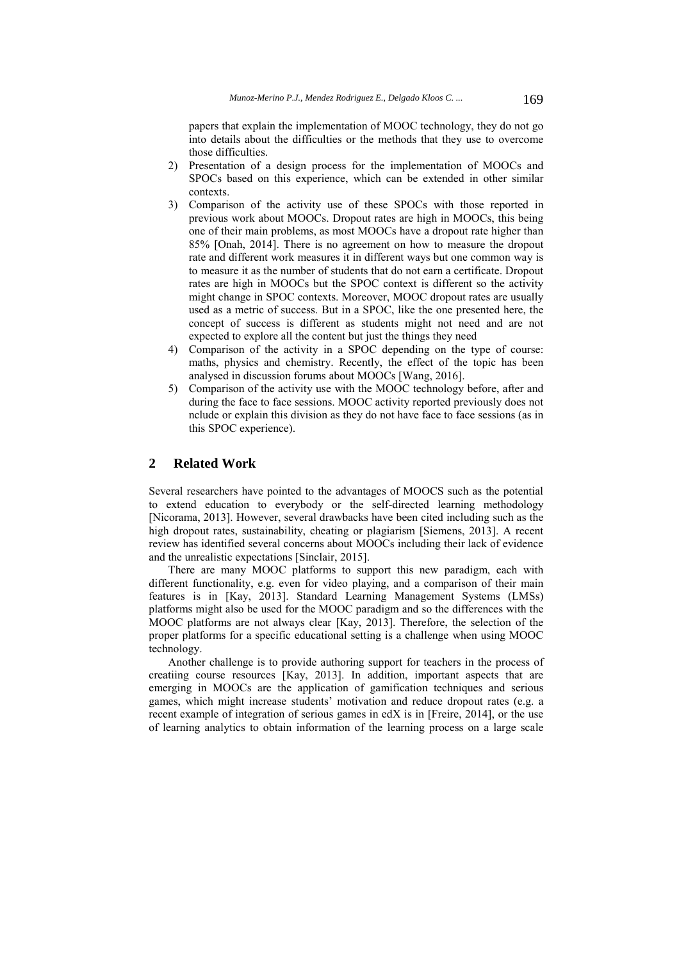papers that explain the implementation of MOOC technology, they do not go into details about the difficulties or the methods that they use to overcome those difficulties.

- 2) Presentation of a design process for the implementation of MOOCs and SPOCs based on this experience, which can be extended in other similar contexts.
- 3) Comparison of the activity use of these SPOCs with those reported in previous work about MOOCs. Dropout rates are high in MOOCs, this being one of their main problems, as most MOOCs have a dropout rate higher than 85% [Onah, 2014]. There is no agreement on how to measure the dropout rate and different work measures it in different ways but one common way is to measure it as the number of students that do not earn a certificate. Dropout rates are high in MOOCs but the SPOC context is different so the activity might change in SPOC contexts. Moreover, MOOC dropout rates are usually used as a metric of success. But in a SPOC, like the one presented here, the concept of success is different as students might not need and are not expected to explore all the content but just the things they need
- 4) Comparison of the activity in a SPOC depending on the type of course: maths, physics and chemistry. Recently, the effect of the topic has been analysed in discussion forums about MOOCs [Wang, 2016].
- 5) Comparison of the activity use with the MOOC technology before, after and during the face to face sessions. MOOC activity reported previously does not nclude or explain this division as they do not have face to face sessions (as in this SPOC experience).

## **2 Related Work**

Several researchers have pointed to the advantages of MOOCS such as the potential to extend education to everybody or the self-directed learning methodology [Nicorama, 2013]. However, several drawbacks have been cited including such as the high dropout rates, sustainability, cheating or plagiarism [Siemens, 2013]. A recent review has identified several concerns about MOOCs including their lack of evidence and the unrealistic expectations [Sinclair, 2015].

There are many MOOC platforms to support this new paradigm, each with different functionality, e.g. even for video playing, and a comparison of their main features is in [Kay, 2013]. Standard Learning Management Systems (LMSs) platforms might also be used for the MOOC paradigm and so the differences with the MOOC platforms are not always clear [Kay, 2013]. Therefore, the selection of the proper platforms for a specific educational setting is a challenge when using MOOC technology.

Another challenge is to provide authoring support for teachers in the process of creatiing course resources [Kay, 2013]. In addition, important aspects that are emerging in MOOCs are the application of gamification techniques and serious games, which might increase students' motivation and reduce dropout rates (e.g. a recent example of integration of serious games in edX is in [Freire, 2014], or the use of learning analytics to obtain information of the learning process on a large scale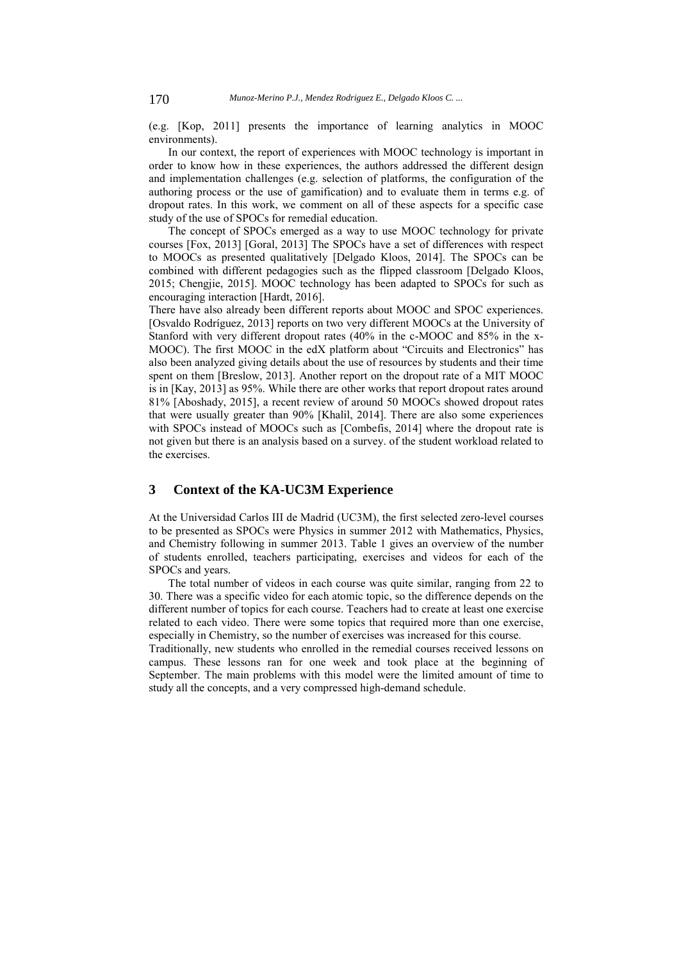(e.g. [Kop, 2011] presents the importance of learning analytics in MOOC environments).

In our context, the report of experiences with MOOC technology is important in order to know how in these experiences, the authors addressed the different design and implementation challenges (e.g. selection of platforms, the configuration of the authoring process or the use of gamification) and to evaluate them in terms e.g. of dropout rates. In this work, we comment on all of these aspects for a specific case study of the use of SPOCs for remedial education.

The concept of SPOCs emerged as a way to use MOOC technology for private courses [Fox, 2013] [Goral, 2013] The SPOCs have a set of differences with respect to MOOCs as presented qualitatively [Delgado Kloos, 2014]. The SPOCs can be combined with different pedagogies such as the flipped classroom [Delgado Kloos, 2015; Chengjie, 2015]. MOOC technology has been adapted to SPOCs for such as encouraging interaction [Hardt, 2016].

There have also already been different reports about MOOC and SPOC experiences. [Osvaldo Rodríguez, 2013] reports on two very different MOOCs at the University of Stanford with very different dropout rates (40% in the c-MOOC and 85% in the x-MOOC). The first MOOC in the edX platform about "Circuits and Electronics" has also been analyzed giving details about the use of resources by students and their time spent on them [Breslow, 2013]. Another report on the dropout rate of a MIT MOOC is in [Kay, 2013] as 95%. While there are other works that report dropout rates around 81% [Aboshady, 2015], a recent review of around 50 MOOCs showed dropout rates that were usually greater than 90% [Khalil, 2014]. There are also some experiences with SPOCs instead of MOOCs such as [Combefis, 2014] where the dropout rate is not given but there is an analysis based on a survey. of the student workload related to the exercises.

## **3 Context of the KA-UC3M Experience**

At the Universidad Carlos III de Madrid (UC3M), the first selected zero-level courses to be presented as SPOCs were Physics in summer 2012 with Mathematics, Physics, and Chemistry following in summer 2013. Table 1 gives an overview of the number of students enrolled, teachers participating, exercises and videos for each of the SPOCs and years.

The total number of videos in each course was quite similar, ranging from 22 to 30. There was a specific video for each atomic topic, so the difference depends on the different number of topics for each course. Teachers had to create at least one exercise related to each video. There were some topics that required more than one exercise, especially in Chemistry, so the number of exercises was increased for this course.

Traditionally, new students who enrolled in the remedial courses received lessons on campus. These lessons ran for one week and took place at the beginning of September. The main problems with this model were the limited amount of time to study all the concepts, and a very compressed high-demand schedule.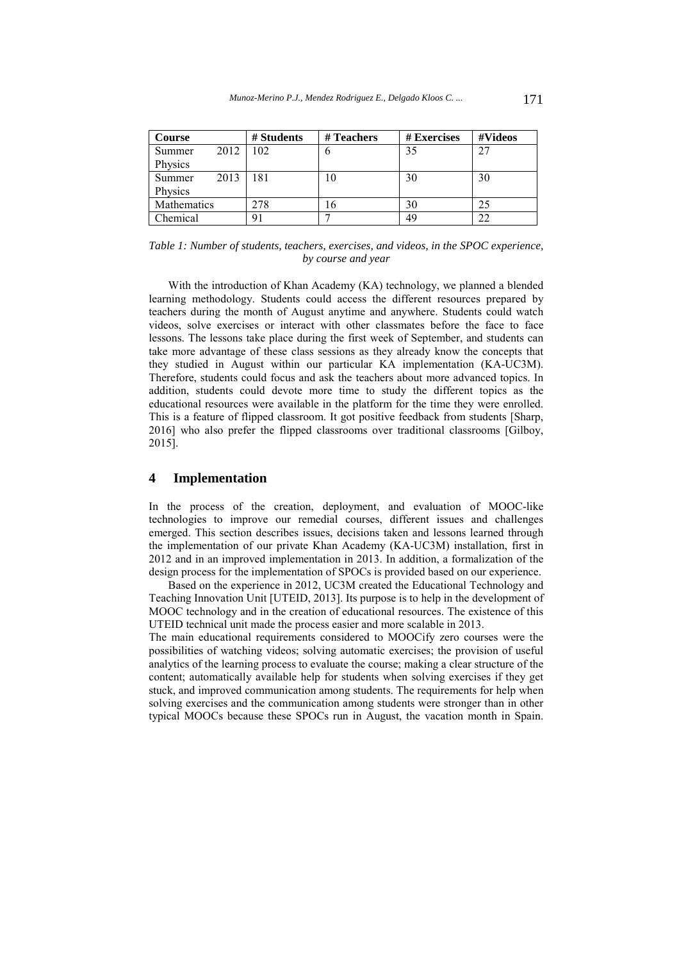| Course         | # Students | # Teachers | # Exercises | #Videos |
|----------------|------------|------------|-------------|---------|
| 2012<br>Summer | 102        | O          | 35          | 27      |
| Physics        |            |            |             |         |
| 2013<br>Summer | 181        | 10         | 30          | 30      |
| Physics        |            |            |             |         |
| Mathematics    | 278        |            | 30          | 25      |
| Chemical       | 91         |            | 49          |         |

*Table 1: Number of students, teachers, exercises, and videos, in the SPOC experience, by course and year* 

With the introduction of Khan Academy (KA) technology, we planned a blended learning methodology. Students could access the different resources prepared by teachers during the month of August anytime and anywhere. Students could watch videos, solve exercises or interact with other classmates before the face to face lessons. The lessons take place during the first week of September, and students can take more advantage of these class sessions as they already know the concepts that they studied in August within our particular KA implementation (KA-UC3M). Therefore, students could focus and ask the teachers about more advanced topics. In addition, students could devote more time to study the different topics as the educational resources were available in the platform for the time they were enrolled. This is a feature of flipped classroom. It got positive feedback from students [Sharp, 2016] who also prefer the flipped classrooms over traditional classrooms [Gilboy, 2015].

## **4 Implementation**

In the process of the creation, deployment, and evaluation of MOOC-like technologies to improve our remedial courses, different issues and challenges emerged. This section describes issues, decisions taken and lessons learned through the implementation of our private Khan Academy (KA-UC3M) installation, first in 2012 and in an improved implementation in 2013. In addition, a formalization of the design process for the implementation of SPOCs is provided based on our experience.

Based on the experience in 2012, UC3M created the Educational Technology and Teaching Innovation Unit [UTEID, 2013]. Its purpose is to help in the development of MOOC technology and in the creation of educational resources. The existence of this UTEID technical unit made the process easier and more scalable in 2013.

The main educational requirements considered to MOOCify zero courses were the possibilities of watching videos; solving automatic exercises; the provision of useful analytics of the learning process to evaluate the course; making a clear structure of the content; automatically available help for students when solving exercises if they get stuck, and improved communication among students. The requirements for help when solving exercises and the communication among students were stronger than in other typical MOOCs because these SPOCs run in August, the vacation month in Spain.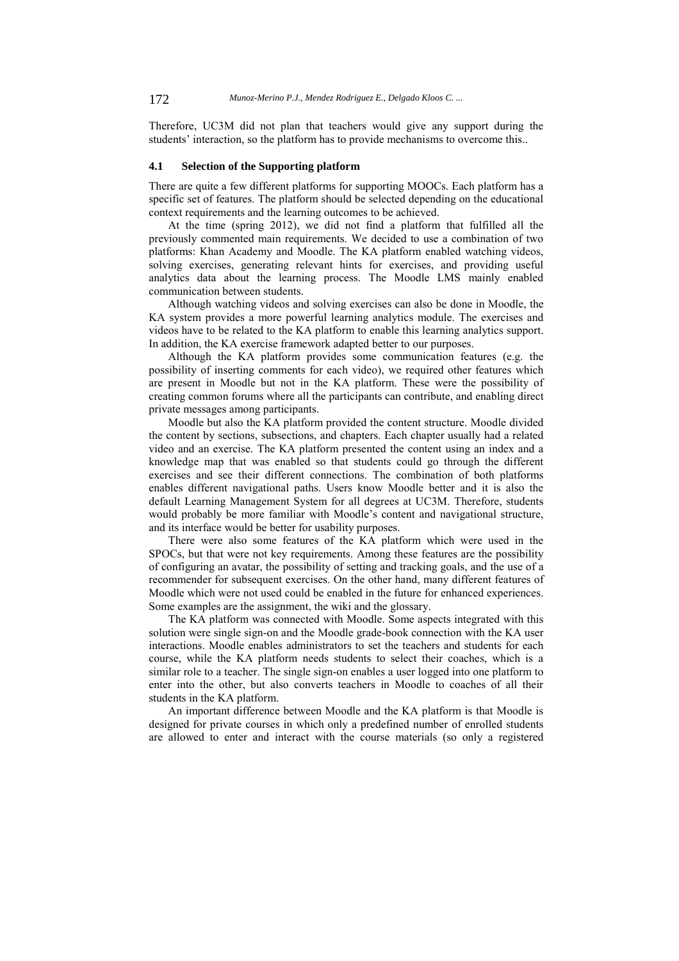Therefore, UC3M did not plan that teachers would give any support during the students' interaction, so the platform has to provide mechanisms to overcome this..

#### **4.1 Selection of the Supporting platform**

There are quite a few different platforms for supporting MOOCs. Each platform has a specific set of features. The platform should be selected depending on the educational context requirements and the learning outcomes to be achieved.

At the time (spring 2012), we did not find a platform that fulfilled all the previously commented main requirements. We decided to use a combination of two platforms: Khan Academy and Moodle. The KA platform enabled watching videos, solving exercises, generating relevant hints for exercises, and providing useful analytics data about the learning process. The Moodle LMS mainly enabled communication between students.

Although watching videos and solving exercises can also be done in Moodle, the KA system provides a more powerful learning analytics module. The exercises and videos have to be related to the KA platform to enable this learning analytics support. In addition, the KA exercise framework adapted better to our purposes.

Although the KA platform provides some communication features (e.g. the possibility of inserting comments for each video), we required other features which are present in Moodle but not in the KA platform. These were the possibility of creating common forums where all the participants can contribute, and enabling direct private messages among participants.

Moodle but also the KA platform provided the content structure. Moodle divided the content by sections, subsections, and chapters. Each chapter usually had a related video and an exercise. The KA platform presented the content using an index and a knowledge map that was enabled so that students could go through the different exercises and see their different connections. The combination of both platforms enables different navigational paths. Users know Moodle better and it is also the default Learning Management System for all degrees at UC3M. Therefore, students would probably be more familiar with Moodle's content and navigational structure, and its interface would be better for usability purposes.

There were also some features of the KA platform which were used in the SPOCs, but that were not key requirements. Among these features are the possibility of configuring an avatar, the possibility of setting and tracking goals, and the use of a recommender for subsequent exercises. On the other hand, many different features of Moodle which were not used could be enabled in the future for enhanced experiences. Some examples are the assignment, the wiki and the glossary.

The KA platform was connected with Moodle. Some aspects integrated with this solution were single sign-on and the Moodle grade-book connection with the KA user interactions. Moodle enables administrators to set the teachers and students for each course, while the KA platform needs students to select their coaches, which is a similar role to a teacher. The single sign-on enables a user logged into one platform to enter into the other, but also converts teachers in Moodle to coaches of all their students in the KA platform.

An important difference between Moodle and the KA platform is that Moodle is designed for private courses in which only a predefined number of enrolled students are allowed to enter and interact with the course materials (so only a registered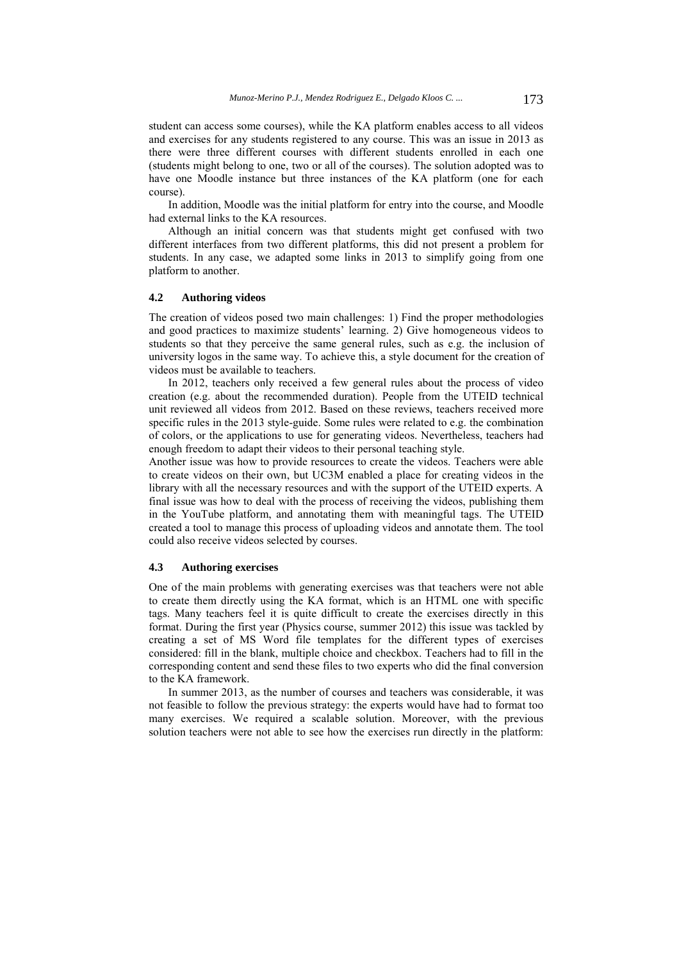student can access some courses), while the KA platform enables access to all videos and exercises for any students registered to any course. This was an issue in 2013 as there were three different courses with different students enrolled in each one (students might belong to one, two or all of the courses). The solution adopted was to have one Moodle instance but three instances of the KA platform (one for each course).

In addition, Moodle was the initial platform for entry into the course, and Moodle had external links to the KA resources.

Although an initial concern was that students might get confused with two different interfaces from two different platforms, this did not present a problem for students. In any case, we adapted some links in 2013 to simplify going from one platform to another.

#### **4.2 Authoring videos**

The creation of videos posed two main challenges: 1) Find the proper methodologies and good practices to maximize students' learning. 2) Give homogeneous videos to students so that they perceive the same general rules, such as e.g. the inclusion of university logos in the same way. To achieve this, a style document for the creation of videos must be available to teachers.

In 2012, teachers only received a few general rules about the process of video creation (e.g. about the recommended duration). People from the UTEID technical unit reviewed all videos from 2012. Based on these reviews, teachers received more specific rules in the 2013 style-guide. Some rules were related to e.g. the combination of colors, or the applications to use for generating videos. Nevertheless, teachers had enough freedom to adapt their videos to their personal teaching style.

Another issue was how to provide resources to create the videos. Teachers were able to create videos on their own, but UC3M enabled a place for creating videos in the library with all the necessary resources and with the support of the UTEID experts. A final issue was how to deal with the process of receiving the videos, publishing them in the YouTube platform, and annotating them with meaningful tags. The UTEID created a tool to manage this process of uploading videos and annotate them. The tool could also receive videos selected by courses.

### **4.3 Authoring exercises**

One of the main problems with generating exercises was that teachers were not able to create them directly using the KA format, which is an HTML one with specific tags. Many teachers feel it is quite difficult to create the exercises directly in this format. During the first year (Physics course, summer 2012) this issue was tackled by creating a set of MS Word file templates for the different types of exercises considered: fill in the blank, multiple choice and checkbox. Teachers had to fill in the corresponding content and send these files to two experts who did the final conversion to the KA framework.

In summer 2013, as the number of courses and teachers was considerable, it was not feasible to follow the previous strategy: the experts would have had to format too many exercises. We required a scalable solution. Moreover, with the previous solution teachers were not able to see how the exercises run directly in the platform: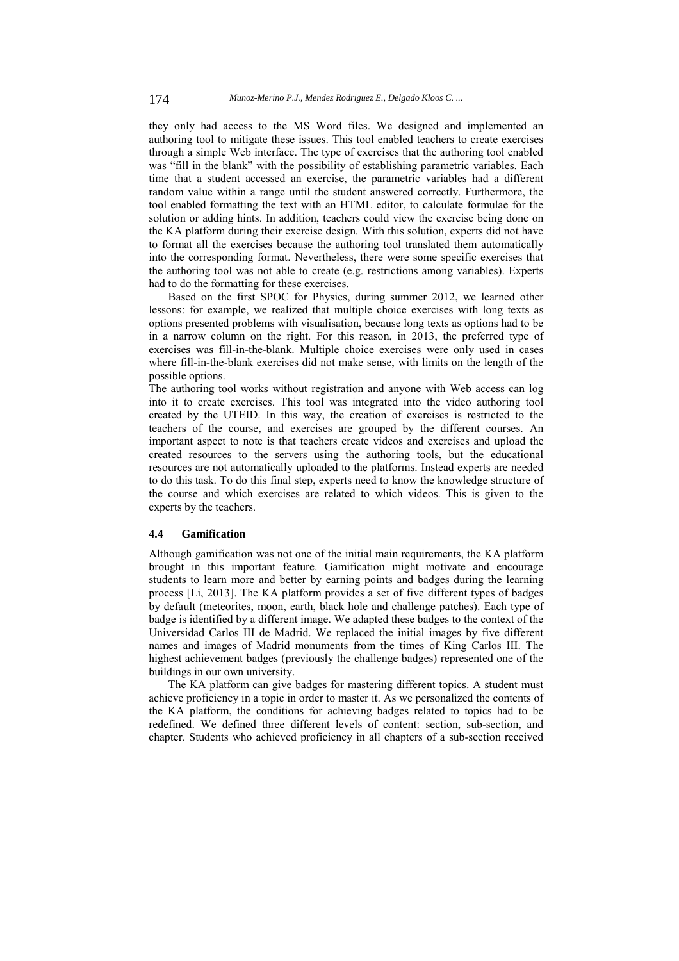they only had access to the MS Word files. We designed and implemented an authoring tool to mitigate these issues. This tool enabled teachers to create exercises through a simple Web interface. The type of exercises that the authoring tool enabled was "fill in the blank" with the possibility of establishing parametric variables. Each time that a student accessed an exercise, the parametric variables had a different random value within a range until the student answered correctly. Furthermore, the tool enabled formatting the text with an HTML editor, to calculate formulae for the solution or adding hints. In addition, teachers could view the exercise being done on the KA platform during their exercise design. With this solution, experts did not have to format all the exercises because the authoring tool translated them automatically into the corresponding format. Nevertheless, there were some specific exercises that the authoring tool was not able to create (e.g. restrictions among variables). Experts had to do the formatting for these exercises.

Based on the first SPOC for Physics, during summer 2012, we learned other lessons: for example, we realized that multiple choice exercises with long texts as options presented problems with visualisation, because long texts as options had to be in a narrow column on the right. For this reason, in 2013, the preferred type of exercises was fill-in-the-blank. Multiple choice exercises were only used in cases where fill-in-the-blank exercises did not make sense, with limits on the length of the possible options.

The authoring tool works without registration and anyone with Web access can log into it to create exercises. This tool was integrated into the video authoring tool created by the UTEID. In this way, the creation of exercises is restricted to the teachers of the course, and exercises are grouped by the different courses. An important aspect to note is that teachers create videos and exercises and upload the created resources to the servers using the authoring tools, but the educational resources are not automatically uploaded to the platforms. Instead experts are needed to do this task. To do this final step, experts need to know the knowledge structure of the course and which exercises are related to which videos. This is given to the experts by the teachers.

#### **4.4 Gamification**

Although gamification was not one of the initial main requirements, the KA platform brought in this important feature. Gamification might motivate and encourage students to learn more and better by earning points and badges during the learning process [Li, 2013]. The KA platform provides a set of five different types of badges by default (meteorites, moon, earth, black hole and challenge patches). Each type of badge is identified by a different image. We adapted these badges to the context of the Universidad Carlos III de Madrid. We replaced the initial images by five different names and images of Madrid monuments from the times of King Carlos III. The highest achievement badges (previously the challenge badges) represented one of the buildings in our own university.

The KA platform can give badges for mastering different topics. A student must achieve proficiency in a topic in order to master it. As we personalized the contents of the KA platform, the conditions for achieving badges related to topics had to be redefined. We defined three different levels of content: section, sub-section, and chapter. Students who achieved proficiency in all chapters of a sub-section received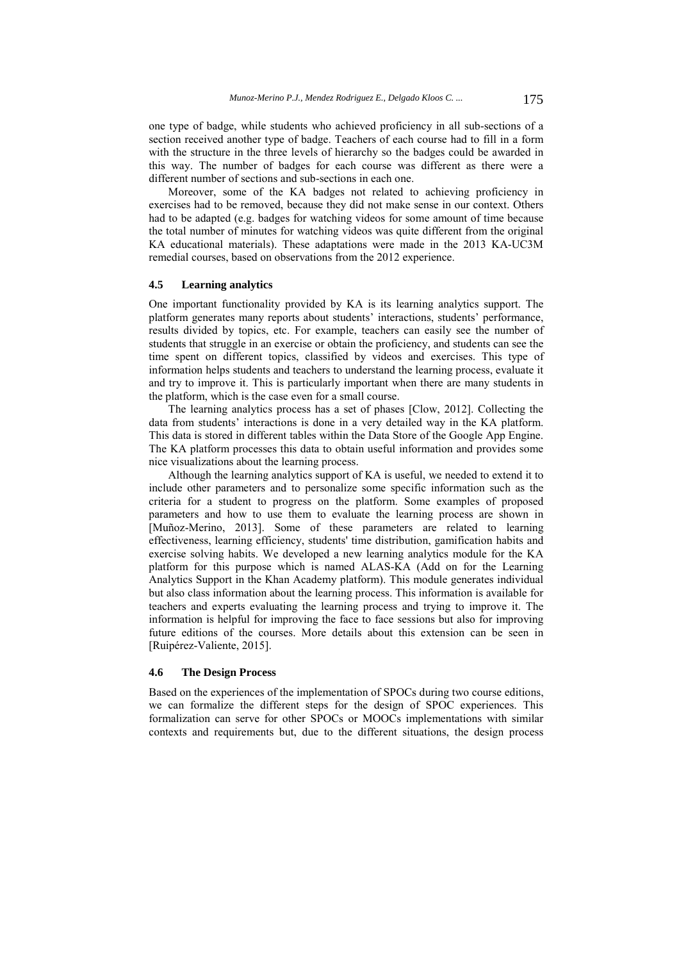one type of badge, while students who achieved proficiency in all sub-sections of a section received another type of badge. Teachers of each course had to fill in a form with the structure in the three levels of hierarchy so the badges could be awarded in this way. The number of badges for each course was different as there were a different number of sections and sub-sections in each one.

Moreover, some of the KA badges not related to achieving proficiency in exercises had to be removed, because they did not make sense in our context. Others had to be adapted (e.g. badges for watching videos for some amount of time because the total number of minutes for watching videos was quite different from the original KA educational materials). These adaptations were made in the 2013 KA-UC3M remedial courses, based on observations from the 2012 experience.

#### **4.5 Learning analytics**

One important functionality provided by KA is its learning analytics support. The platform generates many reports about students' interactions, students' performance, results divided by topics, etc. For example, teachers can easily see the number of students that struggle in an exercise or obtain the proficiency, and students can see the time spent on different topics, classified by videos and exercises. This type of information helps students and teachers to understand the learning process, evaluate it and try to improve it. This is particularly important when there are many students in the platform, which is the case even for a small course.

The learning analytics process has a set of phases [Clow, 2012]. Collecting the data from students' interactions is done in a very detailed way in the KA platform. This data is stored in different tables within the Data Store of the Google App Engine. The KA platform processes this data to obtain useful information and provides some nice visualizations about the learning process.

Although the learning analytics support of KA is useful, we needed to extend it to include other parameters and to personalize some specific information such as the criteria for a student to progress on the platform. Some examples of proposed parameters and how to use them to evaluate the learning process are shown in [Muñoz-Merino, 2013]. Some of these parameters are related to learning effectiveness, learning efficiency, students' time distribution, gamification habits and exercise solving habits. We developed a new learning analytics module for the KA platform for this purpose which is named ALAS-KA (Add on for the Learning Analytics Support in the Khan Academy platform). This module generates individual but also class information about the learning process. This information is available for teachers and experts evaluating the learning process and trying to improve it. The information is helpful for improving the face to face sessions but also for improving future editions of the courses. More details about this extension can be seen in [Ruipérez-Valiente, 2015].

#### **4.6 The Design Process**

Based on the experiences of the implementation of SPOCs during two course editions, we can formalize the different steps for the design of SPOC experiences. This formalization can serve for other SPOCs or MOOCs implementations with similar contexts and requirements but, due to the different situations, the design process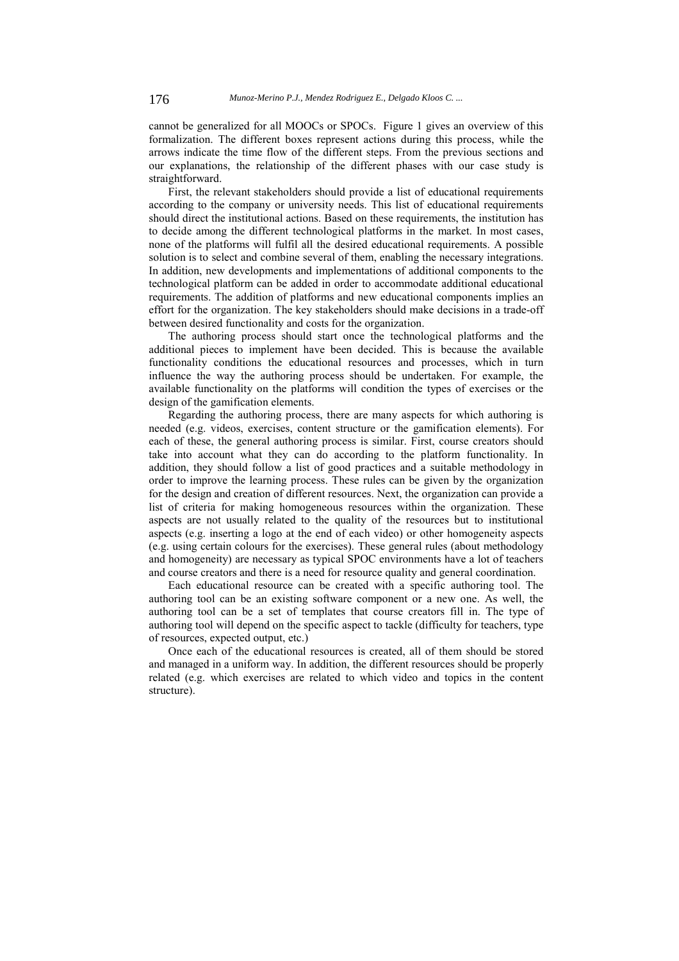cannot be generalized for all MOOCs or SPOCs. Figure 1 gives an overview of this formalization. The different boxes represent actions during this process, while the arrows indicate the time flow of the different steps. From the previous sections and our explanations, the relationship of the different phases with our case study is straightforward.

First, the relevant stakeholders should provide a list of educational requirements according to the company or university needs. This list of educational requirements should direct the institutional actions. Based on these requirements, the institution has to decide among the different technological platforms in the market. In most cases, none of the platforms will fulfil all the desired educational requirements. A possible solution is to select and combine several of them, enabling the necessary integrations. In addition, new developments and implementations of additional components to the technological platform can be added in order to accommodate additional educational requirements. The addition of platforms and new educational components implies an effort for the organization. The key stakeholders should make decisions in a trade-off between desired functionality and costs for the organization.

The authoring process should start once the technological platforms and the additional pieces to implement have been decided. This is because the available functionality conditions the educational resources and processes, which in turn influence the way the authoring process should be undertaken. For example, the available functionality on the platforms will condition the types of exercises or the design of the gamification elements.

Regarding the authoring process, there are many aspects for which authoring is needed (e.g. videos, exercises, content structure or the gamification elements). For each of these, the general authoring process is similar. First, course creators should take into account what they can do according to the platform functionality. In addition, they should follow a list of good practices and a suitable methodology in order to improve the learning process. These rules can be given by the organization for the design and creation of different resources. Next, the organization can provide a list of criteria for making homogeneous resources within the organization. These aspects are not usually related to the quality of the resources but to institutional aspects (e.g. inserting a logo at the end of each video) or other homogeneity aspects (e.g. using certain colours for the exercises). These general rules (about methodology and homogeneity) are necessary as typical SPOC environments have a lot of teachers and course creators and there is a need for resource quality and general coordination.

Each educational resource can be created with a specific authoring tool. The authoring tool can be an existing software component or a new one. As well, the authoring tool can be a set of templates that course creators fill in. The type of authoring tool will depend on the specific aspect to tackle (difficulty for teachers, type of resources, expected output, etc.)

Once each of the educational resources is created, all of them should be stored and managed in a uniform way. In addition, the different resources should be properly related (e.g. which exercises are related to which video and topics in the content structure).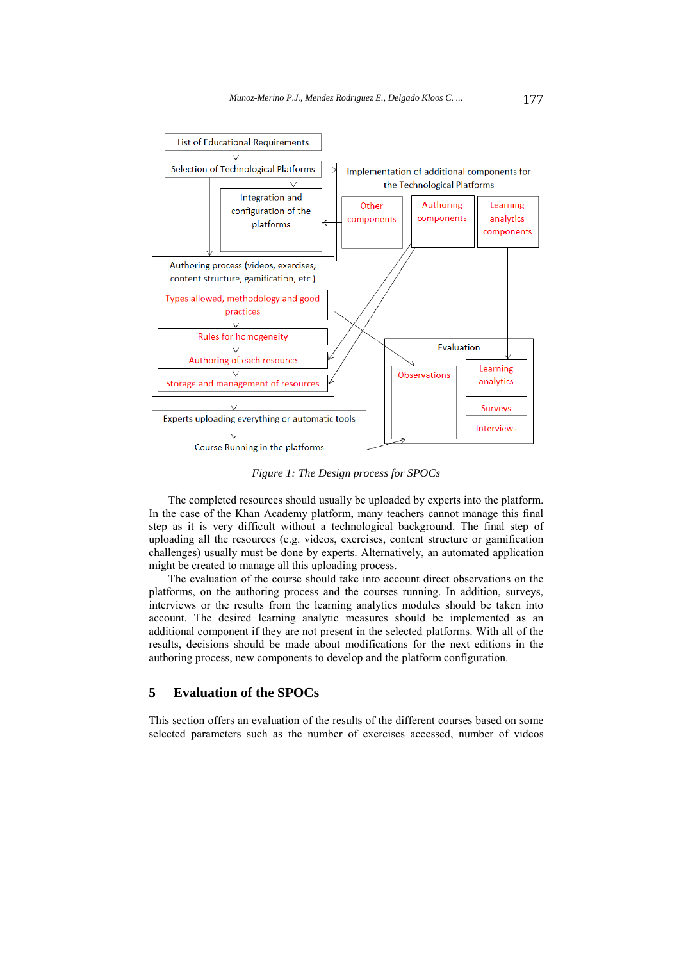

*Figure 1: The Design process for SPOCs* 

The completed resources should usually be uploaded by experts into the platform. In the case of the Khan Academy platform, many teachers cannot manage this final step as it is very difficult without a technological background. The final step of uploading all the resources (e.g. videos, exercises, content structure or gamification challenges) usually must be done by experts. Alternatively, an automated application might be created to manage all this uploading process.

The evaluation of the course should take into account direct observations on the platforms, on the authoring process and the courses running. In addition, surveys, interviews or the results from the learning analytics modules should be taken into account. The desired learning analytic measures should be implemented as an additional component if they are not present in the selected platforms. With all of the results, decisions should be made about modifications for the next editions in the authoring process, new components to develop and the platform configuration.

# **5 Evaluation of the SPOCs**

This section offers an evaluation of the results of the different courses based on some selected parameters such as the number of exercises accessed, number of videos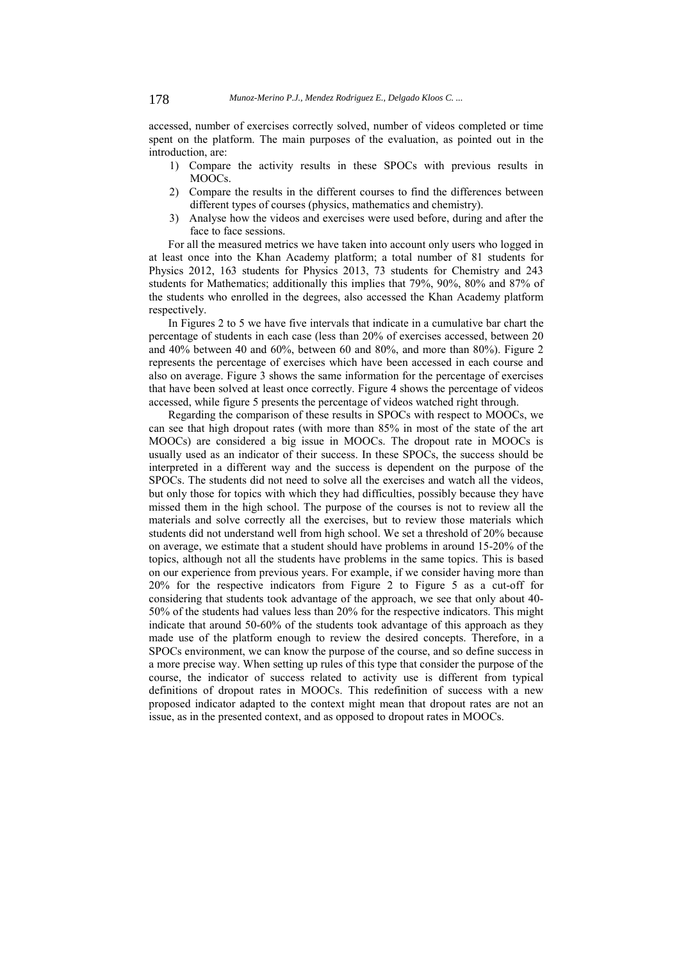accessed, number of exercises correctly solved, number of videos completed or time spent on the platform. The main purposes of the evaluation, as pointed out in the introduction, are:

- 1) Compare the activity results in these SPOCs with previous results in MOOCs.
- 2) Compare the results in the different courses to find the differences between different types of courses (physics, mathematics and chemistry).
- 3) Analyse how the videos and exercises were used before, during and after the face to face sessions.

For all the measured metrics we have taken into account only users who logged in at least once into the Khan Academy platform; a total number of 81 students for Physics 2012, 163 students for Physics 2013, 73 students for Chemistry and 243 students for Mathematics; additionally this implies that 79%, 90%, 80% and 87% of the students who enrolled in the degrees, also accessed the Khan Academy platform respectively.

In Figures 2 to 5 we have five intervals that indicate in a cumulative bar chart the percentage of students in each case (less than 20% of exercises accessed, between 20 and 40% between 40 and 60%, between 60 and 80%, and more than 80%). Figure 2 represents the percentage of exercises which have been accessed in each course and also on average. Figure 3 shows the same information for the percentage of exercises that have been solved at least once correctly. Figure 4 shows the percentage of videos accessed, while figure 5 presents the percentage of videos watched right through.

Regarding the comparison of these results in SPOCs with respect to MOOCs, we can see that high dropout rates (with more than 85% in most of the state of the art MOOCs) are considered a big issue in MOOCs. The dropout rate in MOOCs is usually used as an indicator of their success. In these SPOCs, the success should be interpreted in a different way and the success is dependent on the purpose of the SPOCs. The students did not need to solve all the exercises and watch all the videos, but only those for topics with which they had difficulties, possibly because they have missed them in the high school. The purpose of the courses is not to review all the materials and solve correctly all the exercises, but to review those materials which students did not understand well from high school. We set a threshold of 20% because on average, we estimate that a student should have problems in around 15-20% of the topics, although not all the students have problems in the same topics. This is based on our experience from previous years. For example, if we consider having more than 20% for the respective indicators from Figure 2 to Figure 5 as a cut-off for considering that students took advantage of the approach, we see that only about 40- 50% of the students had values less than 20% for the respective indicators. This might indicate that around 50-60% of the students took advantage of this approach as they made use of the platform enough to review the desired concepts. Therefore, in a SPOCs environment, we can know the purpose of the course, and so define success in a more precise way. When setting up rules of this type that consider the purpose of the course, the indicator of success related to activity use is different from typical definitions of dropout rates in MOOCs. This redefinition of success with a new proposed indicator adapted to the context might mean that dropout rates are not an issue, as in the presented context, and as opposed to dropout rates in MOOCs.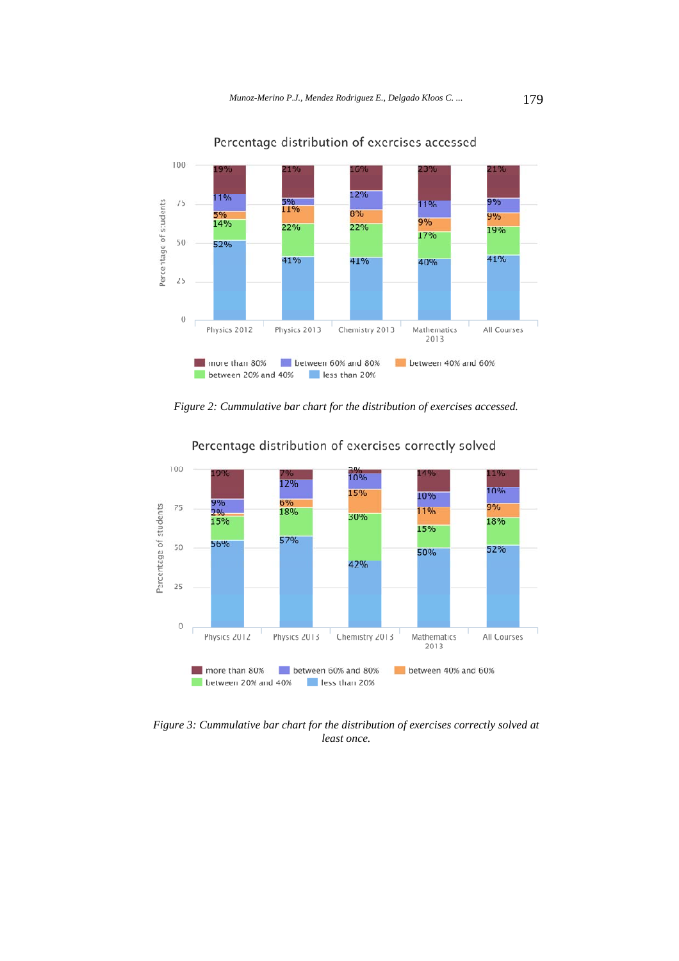

Percentage distribution of exercises accessed

*Figure 2: Cummulative bar chart for the distribution of exercises accessed.* 



Percentage distribution of exercises correctly solved

*Figure 3: Cummulative bar chart for the distribution of exercises correctly solved at least once.*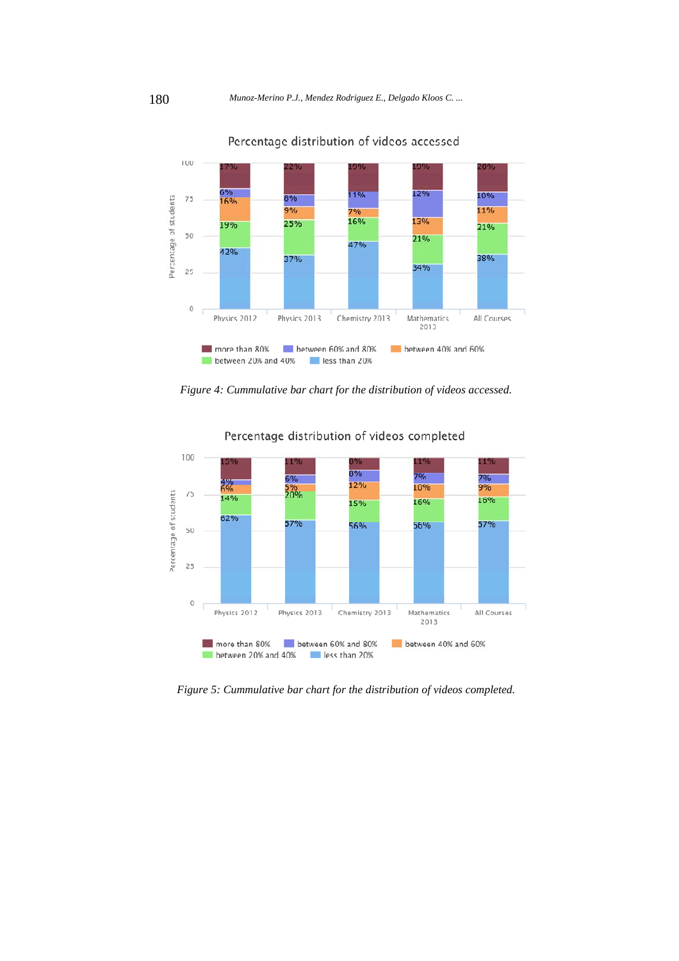

Percentage distribution of videos accessed

*Figure 4: Cummulative bar chart for the distribution of videos accessed.* 



Percentage distribution of videos completed

*Figure 5: Cummulative bar chart for the distribution of videos completed.*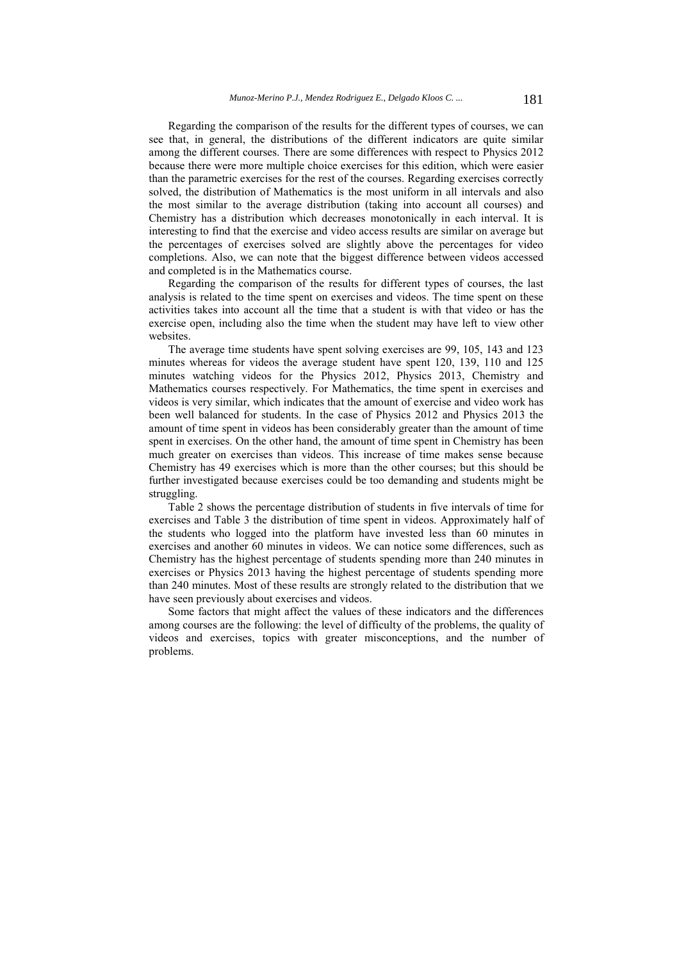Regarding the comparison of the results for the different types of courses, we can see that, in general, the distributions of the different indicators are quite similar among the different courses. There are some differences with respect to Physics 2012 because there were more multiple choice exercises for this edition, which were easier than the parametric exercises for the rest of the courses. Regarding exercises correctly solved, the distribution of Mathematics is the most uniform in all intervals and also the most similar to the average distribution (taking into account all courses) and Chemistry has a distribution which decreases monotonically in each interval. It is interesting to find that the exercise and video access results are similar on average but the percentages of exercises solved are slightly above the percentages for video completions. Also, we can note that the biggest difference between videos accessed and completed is in the Mathematics course.

Regarding the comparison of the results for different types of courses, the last analysis is related to the time spent on exercises and videos. The time spent on these activities takes into account all the time that a student is with that video or has the exercise open, including also the time when the student may have left to view other websites.

The average time students have spent solving exercises are 99, 105, 143 and 123 minutes whereas for videos the average student have spent 120, 139, 110 and 125 minutes watching videos for the Physics 2012, Physics 2013, Chemistry and Mathematics courses respectively. For Mathematics, the time spent in exercises and videos is very similar, which indicates that the amount of exercise and video work has been well balanced for students. In the case of Physics 2012 and Physics 2013 the amount of time spent in videos has been considerably greater than the amount of time spent in exercises. On the other hand, the amount of time spent in Chemistry has been much greater on exercises than videos. This increase of time makes sense because Chemistry has 49 exercises which is more than the other courses; but this should be further investigated because exercises could be too demanding and students might be struggling.

Table 2 shows the percentage distribution of students in five intervals of time for exercises and Table 3 the distribution of time spent in videos. Approximately half of the students who logged into the platform have invested less than 60 minutes in exercises and another 60 minutes in videos. We can notice some differences, such as Chemistry has the highest percentage of students spending more than 240 minutes in exercises or Physics 2013 having the highest percentage of students spending more than 240 minutes. Most of these results are strongly related to the distribution that we have seen previously about exercises and videos.

Some factors that might affect the values of these indicators and the differences among courses are the following: the level of difficulty of the problems, the quality of videos and exercises, topics with greater misconceptions, and the number of problems.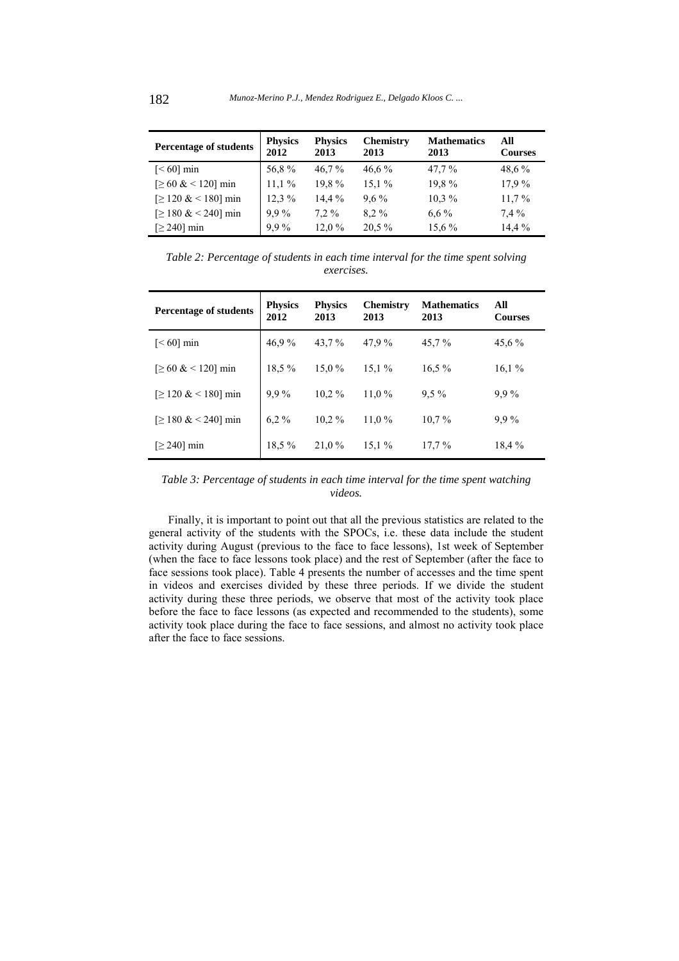| Percentage of students          | <b>Physics</b><br>2012 | <b>Physics</b><br>2013 | <b>Chemistry</b><br>2013 | <b>Mathematics</b><br>2013 | All<br><b>Courses</b> |
|---------------------------------|------------------------|------------------------|--------------------------|----------------------------|-----------------------|
| $\left[ < 60 \right]$ min       | 56,8%                  | $46.7\%$               | $46.6\%$                 | $47.7\%$                   | 48.6 %                |
| $[ \geq 60 \& 120 ]$ min        | $11,1\%$               | 19,8%                  | 15,1%                    | 19,8%                      | 17,9 %                |
| $[ \geq 120 \& 180 ]$ min       | 12,3%                  | 14.4%                  | $9.6\%$                  | $10.3\%$                   | 11,7%                 |
| $[ \geq 180 \&  \leq 240 ]$ min | $9.9\%$                | $7.2\%$                | $8.2\%$                  | $6.6\%$                    | $7.4\%$               |
| $\lceil 240 \rceil$ min         | 9,9%                   | $12.0\%$               | 20,5 %                   | 15,6 %                     | 14,4%                 |

*Table 2: Percentage of students in each time interval for the time spent solving exercises.* 

| <b>Percentage of students</b> | <b>Physics</b><br>2012 | <b>Physics</b><br>2013 | <b>Chemistry</b><br>2013 | <b>Mathematics</b><br>2013 | All<br><b>Courses</b> |
|-------------------------------|------------------------|------------------------|--------------------------|----------------------------|-----------------------|
| $\left[ < 60 \right]$ min     | 46.9%                  | 43.7 %                 | 47.9 %                   | 45,7%                      | 45,6%                 |
| $\geq 60 \< 120$ ] min        | 18,5 %                 | $15.0\%$               | $15.1\%$                 | $16,5\%$                   | 16,1%                 |
| $\geq$ 120 & < 180] min       | $9.9\%$                | $10.2\%$               | 11.0%                    | $9,5\%$                    | $9.9\%$               |
| $\geq$ 180 & < 240] min       | $6.2\%$                | $10.2\%$               | $11.0\%$                 | $10.7\%$                   | $9.9\%$               |
| $\lceil 240 \rceil$ min       | 18.5 %                 | 21.0%                  | $15.1\%$                 | $17.7\%$                   | 18,4 %                |

## *Table 3: Percentage of students in each time interval for the time spent watching videos.*

Finally, it is important to point out that all the previous statistics are related to the general activity of the students with the SPOCs, i.e. these data include the student activity during August (previous to the face to face lessons), 1st week of September (when the face to face lessons took place) and the rest of September (after the face to face sessions took place). Table 4 presents the number of accesses and the time spent in videos and exercises divided by these three periods. If we divide the student activity during these three periods, we observe that most of the activity took place before the face to face lessons (as expected and recommended to the students), some activity took place during the face to face sessions, and almost no activity took place after the face to face sessions.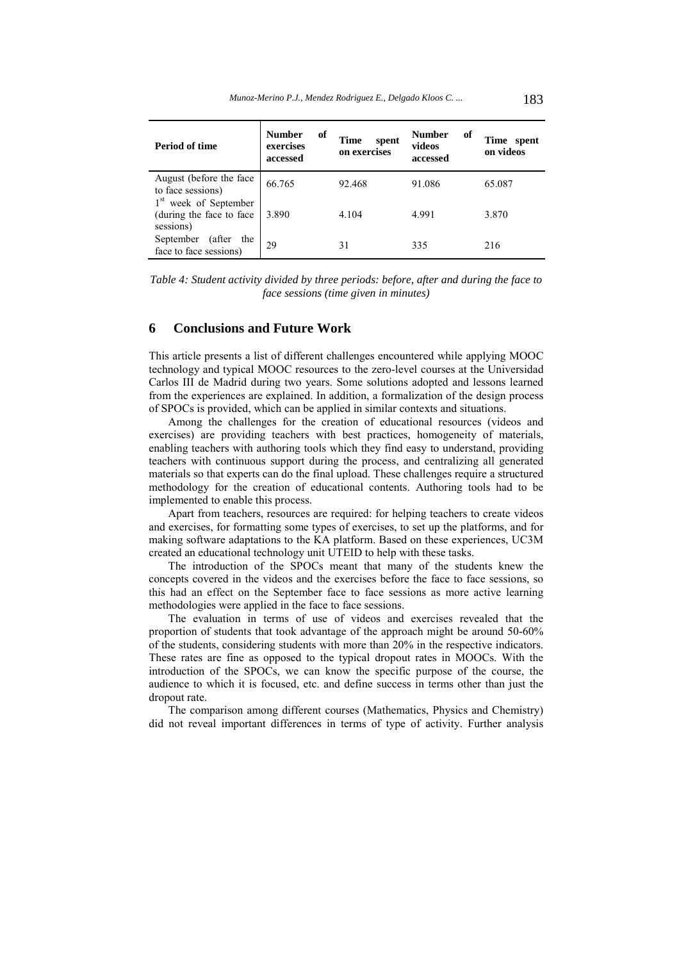| <b>Period of time</b>                                                       | of<br><b>Number</b><br>exercises<br>accessed | Time<br>spent<br>on exercises | <b>Number</b><br>of<br>videos<br>accessed | Time spent<br>on videos |
|-----------------------------------------------------------------------------|----------------------------------------------|-------------------------------|-------------------------------------------|-------------------------|
| August (before the face<br>to face sessions)                                | 66.765                                       | 92.468                        | 91.086                                    | 65.087                  |
| 1 <sup>st</sup> week of September<br>(during the face to face)<br>sessions) | 3.890                                        | 4.104                         | 4.991                                     | 3.870                   |
| September<br>(after<br>the<br>face to face sessions)                        | 29                                           | 31                            | 335                                       | 216                     |

*Table 4: Student activity divided by three periods: before, after and during the face to face sessions (time given in minutes)* 

## **6 Conclusions and Future Work**

This article presents a list of different challenges encountered while applying MOOC technology and typical MOOC resources to the zero-level courses at the Universidad Carlos III de Madrid during two years. Some solutions adopted and lessons learned from the experiences are explained. In addition, a formalization of the design process of SPOCs is provided, which can be applied in similar contexts and situations.

Among the challenges for the creation of educational resources (videos and exercises) are providing teachers with best practices, homogeneity of materials, enabling teachers with authoring tools which they find easy to understand, providing teachers with continuous support during the process, and centralizing all generated materials so that experts can do the final upload. These challenges require a structured methodology for the creation of educational contents. Authoring tools had to be implemented to enable this process.

Apart from teachers, resources are required: for helping teachers to create videos and exercises, for formatting some types of exercises, to set up the platforms, and for making software adaptations to the KA platform. Based on these experiences, UC3M created an educational technology unit UTEID to help with these tasks.

The introduction of the SPOCs meant that many of the students knew the concepts covered in the videos and the exercises before the face to face sessions, so this had an effect on the September face to face sessions as more active learning methodologies were applied in the face to face sessions.

The evaluation in terms of use of videos and exercises revealed that the proportion of students that took advantage of the approach might be around 50-60% of the students, considering students with more than 20% in the respective indicators. These rates are fine as opposed to the typical dropout rates in MOOCs. With the introduction of the SPOCs, we can know the specific purpose of the course, the audience to which it is focused, etc. and define success in terms other than just the dropout rate.

The comparison among different courses (Mathematics, Physics and Chemistry) did not reveal important differences in terms of type of activity. Further analysis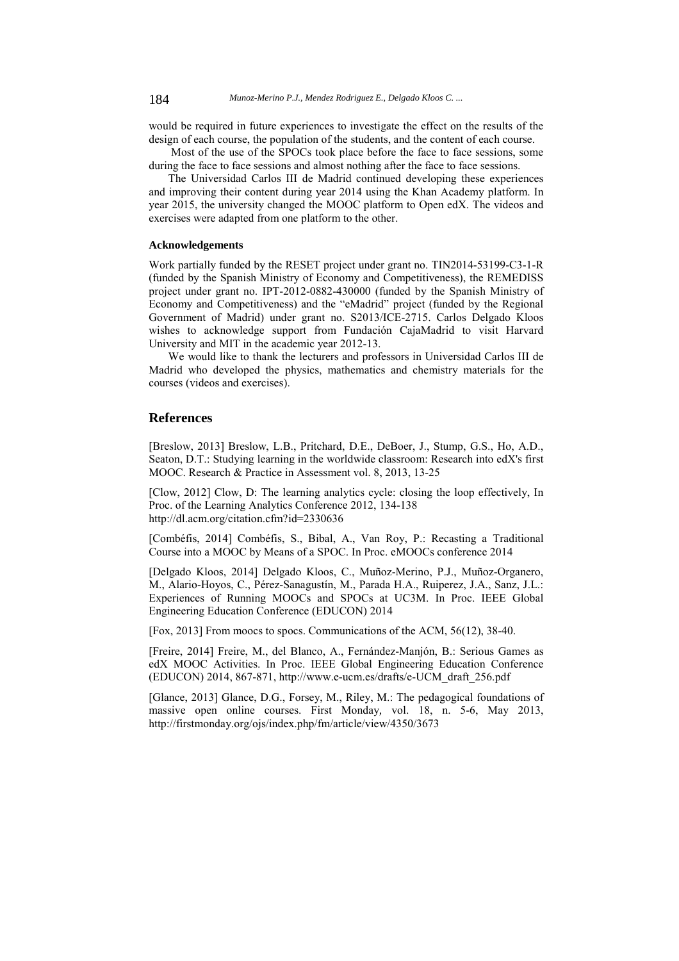would be required in future experiences to investigate the effect on the results of the design of each course, the population of the students, and the content of each course.

 Most of the use of the SPOCs took place before the face to face sessions, some during the face to face sessions and almost nothing after the face to face sessions.

The Universidad Carlos III de Madrid continued developing these experiences and improving their content during year 2014 using the Khan Academy platform. In year 2015, the university changed the MOOC platform to Open edX. The videos and exercises were adapted from one platform to the other.

#### **Acknowledgements**

Work partially funded by the RESET project under grant no. TIN2014-53199-C3-1-R (funded by the Spanish Ministry of Economy and Competitiveness), the REMEDISS project under grant no. IPT-2012-0882-430000 (funded by the Spanish Ministry of Economy and Competitiveness) and the "eMadrid" project (funded by the Regional Government of Madrid) under grant no. S2013/ICE-2715. Carlos Delgado Kloos wishes to acknowledge support from Fundación CajaMadrid to visit Harvard University and MIT in the academic year 2012-13.

We would like to thank the lecturers and professors in Universidad Carlos III de Madrid who developed the physics, mathematics and chemistry materials for the courses (videos and exercises).

## **References**

[Breslow, 2013] Breslow, L.B., Pritchard, D.E., DeBoer, J., Stump, G.S., Ho, A.D., Seaton, D.T.: Studying learning in the worldwide classroom: Research into edX's first MOOC. Research & Practice in Assessment vol. 8, 2013, 13-25

[Clow, 2012] Clow, D: The learning analytics cycle: closing the loop effectively, In Proc. of the Learning Analytics Conference 2012, 134-138 http://dl.acm.org/citation.cfm?id=2330636

[Combéfis, 2014] Combéfis, S., Bibal, A., Van Roy, P.: Recasting a Traditional Course into a MOOC by Means of a SPOC. In Proc. eMOOCs conference 2014

[Delgado Kloos, 2014] Delgado Kloos, C., Muñoz-Merino, P.J., Muñoz-Organero, M., Alario-Hoyos, C., Pérez-Sanagustín, M., Parada H.A., Ruiperez, J.A., Sanz, J.L.: Experiences of Running MOOCs and SPOCs at UC3M. In Proc. IEEE Global Engineering Education Conference (EDUCON) 2014

[Fox, 2013] From moocs to spocs. Communications of the ACM, 56(12), 38-40.

[Freire, 2014] Freire, M., del Blanco, A., Fernández-Manjón, B.: Serious Games as edX MOOC Activities. In Proc. IEEE Global Engineering Education Conference (EDUCON) 2014, 867-871, http://www.e-ucm.es/drafts/e-UCM\_draft\_256.pdf

[Glance, 2013] Glance, D.G., Forsey, M., Riley, M.: The pedagogical foundations of massive open online courses. First Monday*,* vol. 18, n. 5-6, May 2013, http://firstmonday.org/ojs/index.php/fm/article/view/4350/3673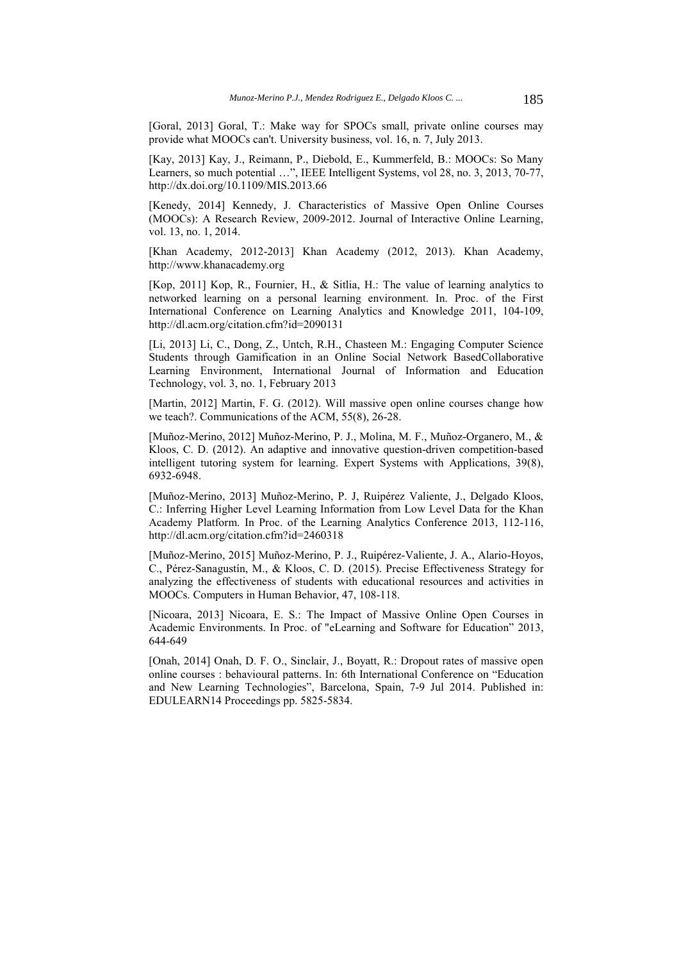[Goral, 2013] Goral, T.: Make way for SPOCs small, private online courses may provide what MOOCs can't. University business, vol. 16, n. 7, July 2013.

[Kay, 2013] Kay, J., Reimann, P., Diebold, E., Kummerfeld, B.: MOOCs: So Many Learners, so much potential ...", IEEE Intelligent Systems, vol 28, no. 3, 2013, 70-77, http://dx.doi.org/10.1109/MIS.2013.66

[Kenedy, 2014] Kennedy, J. Characteristics of Massive Open Online Courses (MOOCs): A Research Review, 2009-2012. Journal of Interactive Online Learning, vol. 13, no. 1, 2014.

[Khan Academy, 2012-2013] Khan Academy (2012, 2013). Khan Academy, http://www.khanacademy.org

[Kop, 2011] Kop, R., Fournier, H., & Sitlia, H.: The value of learning analytics to networked learning on a personal learning environment. In. Proc. of the First International Conference on Learning Analytics and Knowledge 2011, 104-109, http://dl.acm.org/citation.cfm?id=2090131

[Li, 2013] Li, C., Dong, Z., Untch, R.H., Chasteen M.: Engaging Computer Science Students through Gamification in an Online Social Network BasedCollaborative Learning Environment, International Journal of Information and Education Technology, vol. 3, no. 1, February 2013

[Martin, 2012] Martin, F. G. (2012). Will massive open online courses change how we teach?. Communications of the ACM, 55(8), 26-28.

[Muñoz-Merino, 2012] Muñoz-Merino, P. J., Molina, M. F., Muñoz-Organero, M., & Kloos, C. D. (2012). An adaptive and innovative question-driven competition-based intelligent tutoring system for learning. Expert Systems with Applications, 39(8), 6932-6948.

[Muñoz-Merino, 2013] Muñoz-Merino, P. J, Ruipérez Valiente, J., Delgado Kloos, C.: Inferring Higher Level Learning Information from Low Level Data for the Khan Academy Platform. In Proc. of the Learning Analytics Conference 2013, 112-116, http://dl.acm.org/citation.cfm?id=2460318

[Muñoz-Merino, 2015] Muñoz-Merino, P. J., Ruipérez-Valiente, J. A., Alario-Hoyos, C., Pérez-Sanagustín, M., & Kloos, C. D. (2015). Precise Effectiveness Strategy for analyzing the effectiveness of students with educational resources and activities in MOOCs. Computers in Human Behavior, 47, 108-118.

[Nicoara, 2013] Nicoara, E. S.: The Impact of Massive Online Open Courses in Academic Environments. In Proc. of "eLearning and Software for Education" 2013, 644-649

[Onah, 2014] Onah, D. F. O., Sinclair, J., Boyatt, R.: Dropout rates of massive open online courses : behavioural patterns. In: 6th International Conference on "Education and New Learning Technologies", Barcelona, Spain, 7-9 Jul 2014. Published in: EDULEARN14 Proceedings pp. 5825-5834.